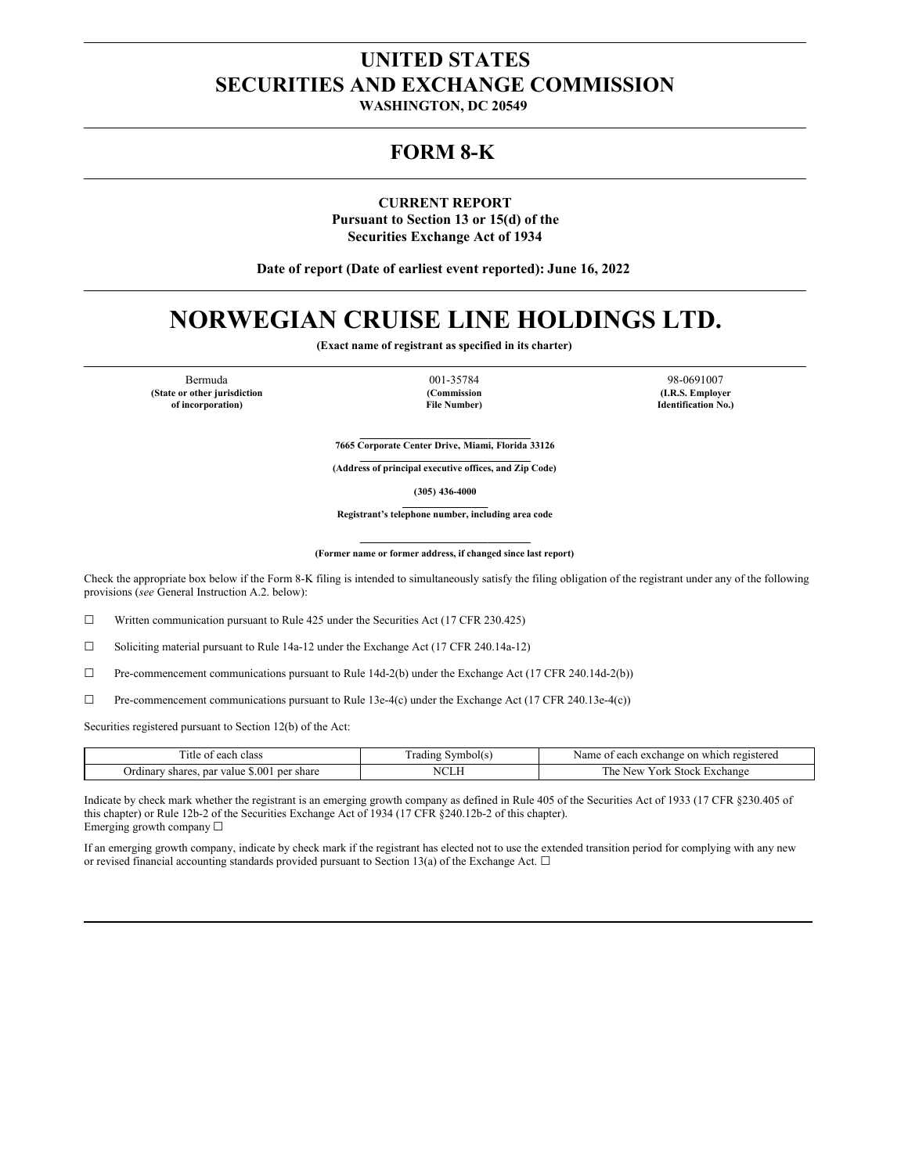# **UNITED STATES SECURITIES AND EXCHANGE COMMISSION**

**WASHINGTON, DC 20549**

## **FORM 8-K**

**CURRENT REPORT Pursuant to Section 13 or 15(d) of the Securities Exchange Act of 1934**

**Date of report (Date of earliest event reported): June 16, 2022**

# **NORWEGIAN CRUISE LINE HOLDINGS LTD.**

**(Exact name of registrant as specified in its charter)**

Bermuda 001-35784 98-0691007 **(State or other jurisdiction of incorporation)**

**(Commission File Number)**

**(I.R.S. Employer Identification No.)**

**7665 Corporate Center Drive, Miami, Florida 33126**

**(Address of principal executive offices, and Zip Code)**

**(305) 436-4000**

**Registrant's telephone number, including area code**

#### **(Former name or former address, if changed since last report)**

Check the appropriate box below if the Form 8-K filing is intended to simultaneously satisfy the filing obligation of the registrant under any of the following provisions (*see* General Instruction A.2. below):

☐ Written communication pursuant to Rule 425 under the Securities Act (17 CFR 230.425)

☐ Soliciting material pursuant to Rule 14a-12 under the Exchange Act (17 CFR 240.14a-12)

 $\Box$  Pre-commencement communications pursuant to Rule 14d-2(b) under the Exchange Act (17 CFR 240.14d-2(b))

☐ Pre-commencement communications pursuant to Rule 13e-4(c) under the Exchange Act (17 CFR 240.13e-4(c))

Securities registered pursuant to Section 12(b) of the Act:

| Title<br>class<br>each                                                    | vm<br>-rading<br>$\sim$ 11 $\sim$ | registered.<br>Name<br>each<br>exchange.<br>which<br>Ωn |
|---------------------------------------------------------------------------|-----------------------------------|---------------------------------------------------------|
| \$.00<br>ner<br>' share<br>par<br>shares<br>zalue<br>Jrdinar <sup>,</sup> | <b>NCLF</b><br>◡                  | 'ork<br>l'he<br><b>New</b><br>: Stock<br>txchange       |

Indicate by check mark whether the registrant is an emerging growth company as defined in Rule 405 of the Securities Act of 1933 (17 CFR §230.405 of this chapter) or Rule 12b-2 of the Securities Exchange Act of 1934 (17 CFR §240.12b-2 of this chapter). Emerging growth company ☐

If an emerging growth company, indicate by check mark if the registrant has elected not to use the extended transition period for complying with any new or revised financial accounting standards provided pursuant to Section 13(a) of the Exchange Act.  $\Box$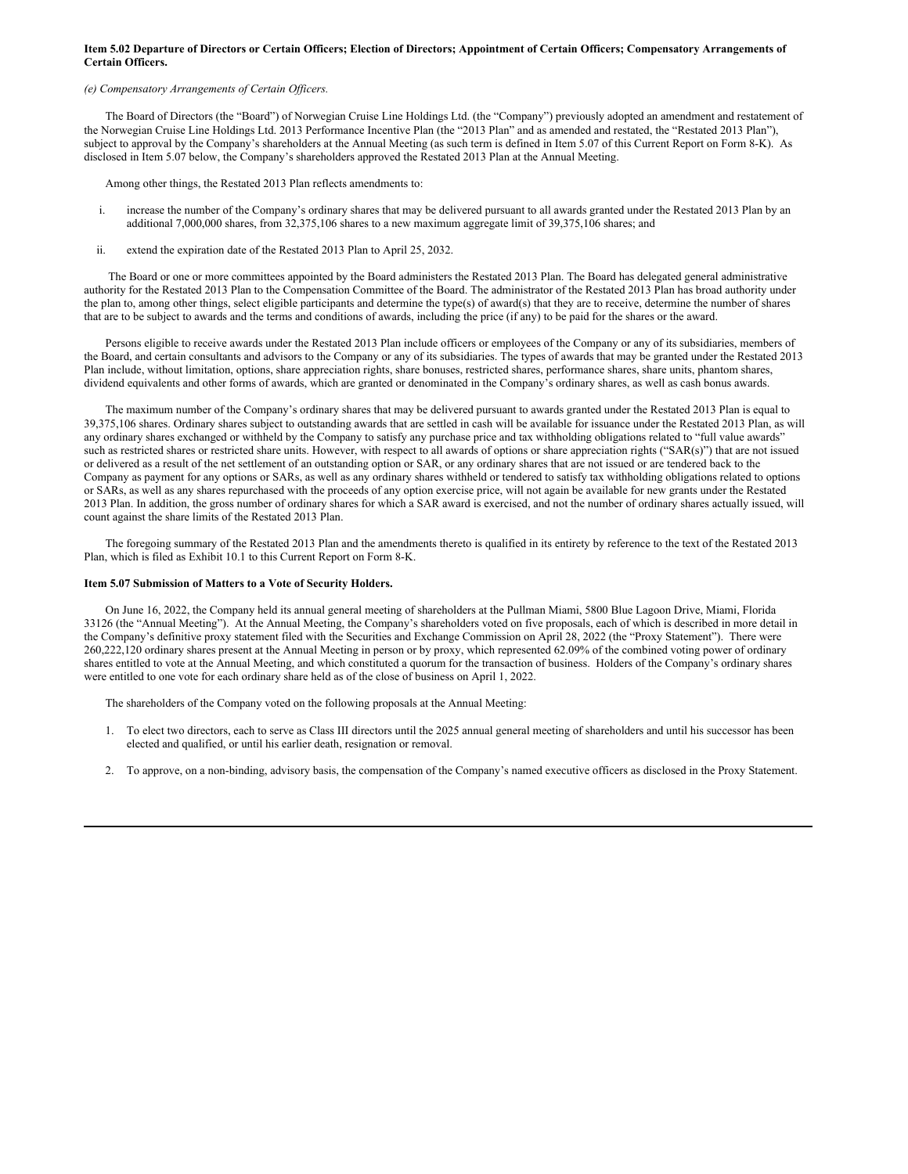#### Item 5.02 Departure of Directors or Certain Officers; Election of Directors; Appointment of Certain Officers; Compensatory Arrangements of **Certain Officers.**

## *(e) Compensatory Arrangements of Certain Of icers.*

The Board of Directors (the "Board") of Norwegian Cruise Line Holdings Ltd. (the "Company") previously adopted an amendment and restatement of the Norwegian Cruise Line Holdings Ltd. 2013 Performance Incentive Plan (the "2013 Plan" and as amended and restated, the "Restated 2013 Plan"), subject to approval by the Company's shareholders at the Annual Meeting (as such term is defined in Item 5.07 of this Current Report on Form 8-K). As disclosed in Item 5.07 below, the Company's shareholders approved the Restated 2013 Plan at the Annual Meeting.

Among other things, the Restated 2013 Plan reflects amendments to:

- i. increase the number of the Company's ordinary shares that may be delivered pursuant to all awards granted under the Restated 2013 Plan by an additional 7,000,000 shares, from 32,375,106 shares to a new maximum aggregate limit of 39,375,106 shares; and
- ii. extend the expiration date of the Restated 2013 Plan to April 25, 2032.

The Board or one or more committees appointed by the Board administers the Restated 2013 Plan. The Board has delegated general administrative authority for the Restated 2013 Plan to the Compensation Committee of the Board. The administrator of the Restated 2013 Plan has broad authority under the plan to, among other things, select eligible participants and determine the type(s) of award(s) that they are to receive, determine the number of shares that are to be subject to awards and the terms and conditions of awards, including the price (if any) to be paid for the shares or the award.

Persons eligible to receive awards under the Restated 2013 Plan include officers or employees of the Company or any of its subsidiaries, members of the Board, and certain consultants and advisors to the Company or any of its subsidiaries. The types of awards that may be granted under the Restated 2013 Plan include, without limitation, options, share appreciation rights, share bonuses, restricted shares, performance shares, share units, phantom shares, dividend equivalents and other forms of awards, which are granted or denominated in the Company's ordinary shares, as well as cash bonus awards.

The maximum number of the Company's ordinary shares that may be delivered pursuant to awards granted under the Restated 2013 Plan is equal to 39,375,106 shares. Ordinary shares subject to outstanding awards that are settled in cash will be available for issuance under the Restated 2013 Plan, as will any ordinary shares exchanged or withheld by the Company to satisfy any purchase price and tax withholding obligations related to "full value awards" such as restricted shares or restricted share units. However, with respect to all awards of options or share appreciation rights ("SAR(s)") that are not issued or delivered as a result of the net settlement of an outstanding option or SAR, or any ordinary shares that are not issued or are tendered back to the Company as payment for any options or SARs, as well as any ordinary shares withheld or tendered to satisfy tax withholding obligations related to options or SARs, as well as any shares repurchased with the proceeds of any option exercise price, will not again be available for new grants under the Restated 2013 Plan. In addition, the gross number of ordinary shares for which a SAR award is exercised, and not the number of ordinary shares actually issued, will count against the share limits of the Restated 2013 Plan.

The foregoing summary of the Restated 2013 Plan and the amendments thereto is qualified in its entirety by reference to the text of the Restated 2013 Plan, which is filed as Exhibit 10.1 to this Current Report on Form 8-K.

#### **Item 5.07 Submission of Matters to a Vote of Security Holders.**

On June 16, 2022, the Company held its annual general meeting of shareholders at the Pullman Miami, 5800 Blue Lagoon Drive, Miami, Florida 33126 (the "Annual Meeting"). At the Annual Meeting, the Company's shareholders voted on five proposals, each of which is described in more detail in the Company's definitive proxy statement filed with the Securities and Exchange Commission on April 28, 2022 (the "Proxy Statement"). There were 260,222,120 ordinary shares present at the Annual Meeting in person or by proxy, which represented 62.09% of the combined voting power of ordinary shares entitled to vote at the Annual Meeting, and which constituted a quorum for the transaction of business. Holders of the Company's ordinary shares were entitled to one vote for each ordinary share held as of the close of business on April 1, 2022.

The shareholders of the Company voted on the following proposals at the Annual Meeting:

- 1. To elect two directors, each to serve as Class III directors until the 2025 annual general meeting of shareholders and until his successor has been elected and qualified, or until his earlier death, resignation or removal.
- 2. To approve, on a non-binding, advisory basis, the compensation of the Company's named executive officers as disclosed in the Proxy Statement.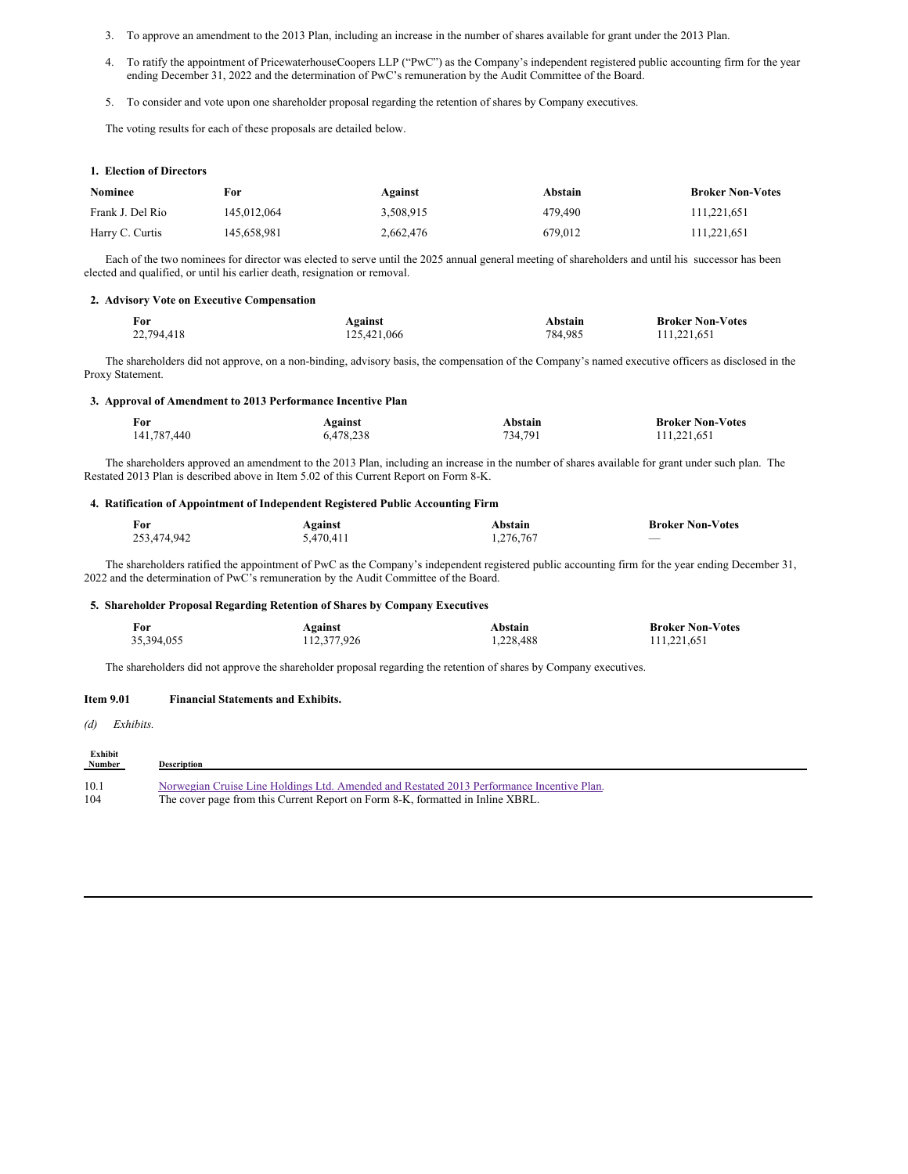- 3. To approve an amendment to the 2013 Plan, including an increase in the number of shares available for grant under the 2013 Plan.
- 4. To ratify the appointment of PricewaterhouseCoopers LLP ("PwC") as the Company's independent registered public accounting firm for the year ending December 31, 2022 and the determination of PwC's remuneration by the Audit Committee of the Board.
- 5. To consider and vote upon one shareholder proposal regarding the retention of shares by Company executives.

The voting results for each of these proposals are detailed below.

|  |  |  | 1. Election of Directors |
|--|--|--|--------------------------|
|--|--|--|--------------------------|

| <b>Nominee</b>   | For         | Against   | Abstain | <b>Broker Non-Votes</b> |
|------------------|-------------|-----------|---------|-------------------------|
| Frank J. Del Rio | 145.012.064 | 3.508.915 | 479,490 | 111.221.651             |
| Harry C. Curtis  | 145.658.981 | 2,662,476 | 679.012 | 111,221,651             |

Each of the two nominees for director was elected to serve until the 2025 annual general meeting of shareholders and until his successor has been elected and qualified, or until his earlier death, resignation or removal.

#### **2. Advisory Vote on Executive Compensation**

| <b>For</b> | Against     | Abstain | <b>Broker Non-Votes</b> |
|------------|-------------|---------|-------------------------|
| 22,794,418 | 125,421,066 | 784.985 | 111,221,651             |

The shareholders did not approve, on a non-binding, advisory basis, the compensation of the Company's named executive officers as disclosed in the Proxy Statement.

#### **3. Approval of Amendment to 2013 Performance Incentive Plan**

| For         | Against   | Abstain | <b>Broker Non-Votes</b> |
|-------------|-----------|---------|-------------------------|
| 141,787,440 | 6,478,238 | 734,791 | 111,221,651             |

The shareholders approved an amendment to the 2013 Plan, including an increase in the number of shares available for grant under such plan. The Restated 2013 Plan is described above in Item 5.02 of this Current Report on Form 8-K.

#### **4. Ratification of Appointment of Independent Registered Public Accounting Firm**

| For         | Against   | Abstain   | <b>Broker Non-Votes</b>  |
|-------------|-----------|-----------|--------------------------|
| 253,474,942 | 5,470,411 | 1,276,767 | $\overline{\phantom{a}}$ |

The shareholders ratified the appointment of PwC as the Company's independent registered public accounting firm for the year ending December 31, 2022 and the determination of PwC's remuneration by the Audit Committee of the Board.

#### **5. Shareholder Proposal Regarding Retention of Shares by Company Executives**

| For        | Against     | Abstain   | <b>Broker Non-Votes</b> |
|------------|-------------|-----------|-------------------------|
| 35,394,055 | 112,377,926 | 1,228,488 | 111,221,651             |

The shareholders did not approve the shareholder proposal regarding the retention of shares by Company executives.

#### **Item 9.01 Financial Statements and Exhibits.**

*(d) Exhibits.*

| Exhibit<br><b>Number</b> | <b>Description</b>                                                                        |
|--------------------------|-------------------------------------------------------------------------------------------|
| 10.1                     | Norwegian Cruise Line Holdings Ltd. Amended and Restated 2013 Performance Incentive Plan. |
| 104                      | The cover page from this Current Report on Form 8-K, formatted in Inline XBRL.            |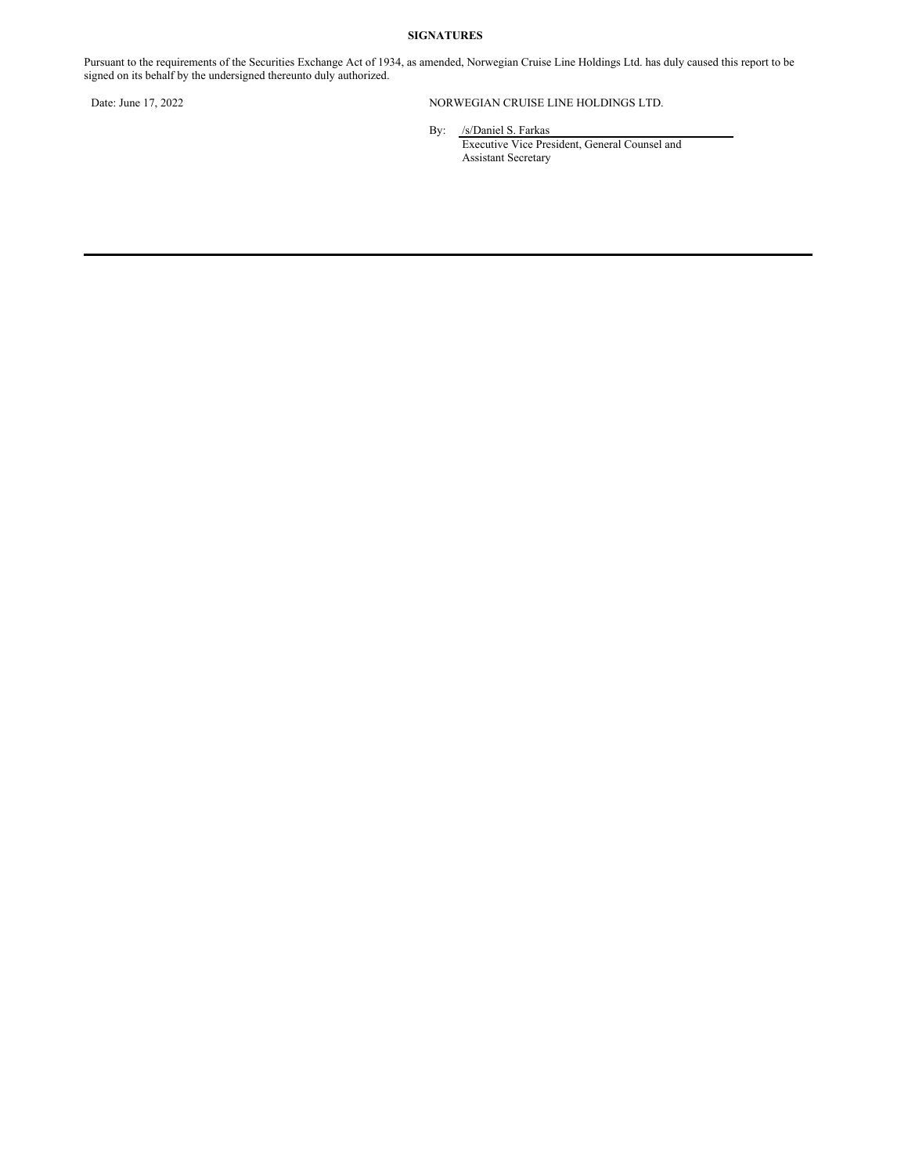## **SIGNATURES**

Pursuant to the requirements of the Securities Exchange Act of 1934, as amended, Norwegian Cruise Line Holdings Ltd. has duly caused this report to be signed on its behalf by the undersigned thereunto duly authorized.

## Date: June 17, 2022 NORWEGIAN CRUISE LINE HOLDINGS LTD.

By: /s/Daniel S. Farkas

Executive Vice President, General Counsel and Assistant Secretary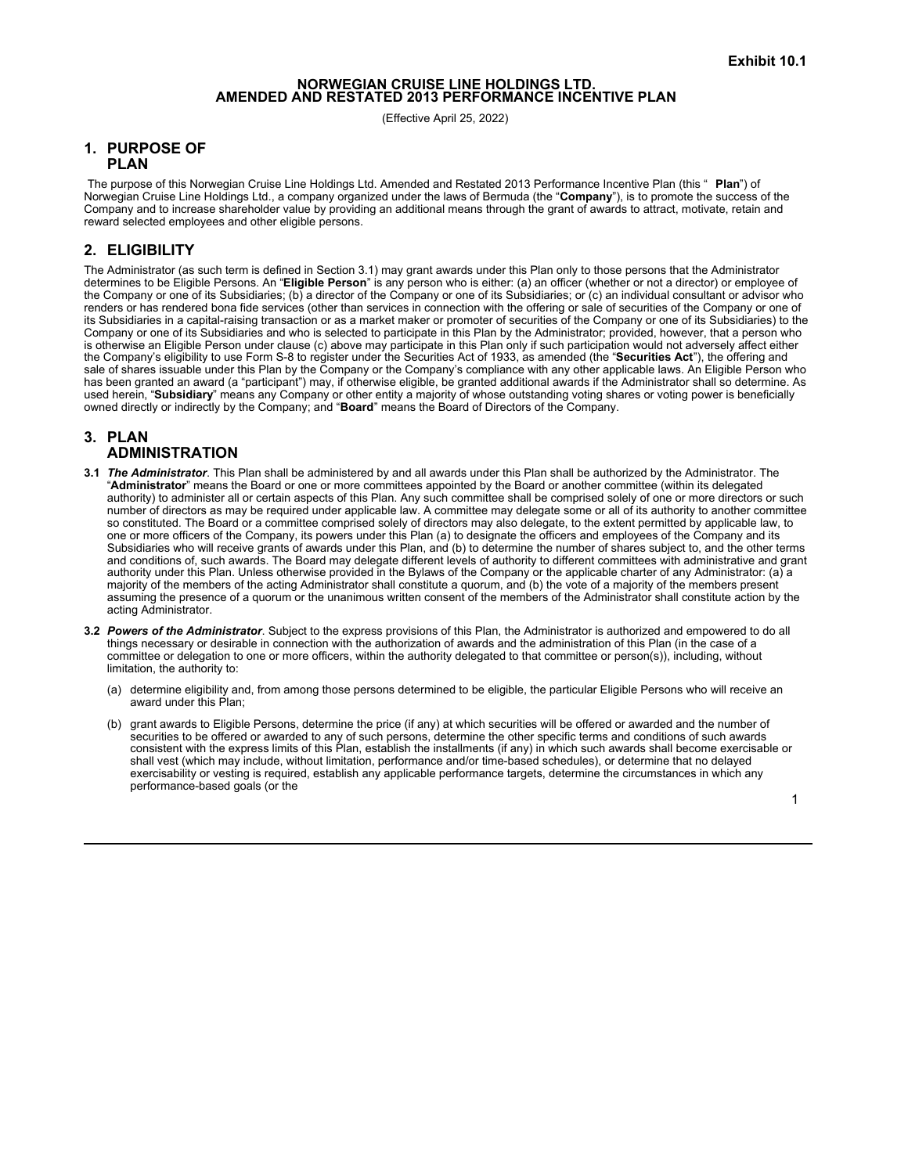# **NORWEGIAN CRUISE LINE HOLDINGS LTD. AMENDED AND RESTATED <sup>2013</sup> PERFORMANCE INCENTIVE PLAN**

(Effective April 25, 2022)

## **1. PURPOSE OF PLAN**

The purpose of this Norwegian Cruise Line Holdings Ltd. Amended and Restated 2013 Performance Incentive Plan (this " **Plan**") of Norwegian Cruise Line Holdings Ltd., a company organized under the laws of Bermuda (the "**Company**"), is to promote the success of the Company and to increase shareholder value by providing an additional means through the grant of awards to attract, motivate, retain and reward selected employees and other eligible persons.

## **2. ELIGIBILITY**

The Administrator (as such term is defined in Section 3.1) may grant awards under this Plan only to those persons that the Administrator determines to be Eligible Persons. An "**Eligible Person**" is any person who is either: (a) an officer (whether or not a director) or employee of the Company or one of its Subsidiaries; (b) a director of the Company or one of its Subsidiaries; or (c) an individual consultant or advisor who renders or has rendered bona fide services (other than services in connection with the offering or sale of securities of the Company or one of its Subsidiaries in a capital-raising transaction or as a market maker or promoter of securities of the Company or one of its Subsidiaries) to the Company or one of its Subsidiaries and who is selected to participate in this Plan by the Administrator; provided, however, that a person who is otherwise an Eligible Person under clause (c) above may participate in this Plan only if such participation would not adversely affect either the Company's eligibility to use Form S-8 to register under the Securities Act of 1933, as amended (the "**Securities Act**"), the offering and sale of shares issuable under this Plan by the Company or the Company's compliance with any other applicable laws. An Eligible Person who has been granted an award (a "participant") may, if otherwise eligible, be granted additional awards if the Administrator shall so determine. As used herein, "**Subsidiary**" means any Company or other entity a majority of whose outstanding voting shares or voting power is beneficially owned directly or indirectly by the Company; and "**Board**" means the Board of Directors of the Company.

## **3. PLAN ADMINISTRATION**

- **3.1** *The Administrator*. This Plan shall be administered by and all awards under this Plan shall be authorized by the Administrator. The "**Administrator**" means the Board or one or more committees appointed by the Board or another committee (within its delegated authority) to administer all or certain aspects of this Plan. Any such committee shall be comprised solely of one or more directors or such number of directors as may be required under applicable law. A committee may delegate some or all of its authority to another committee so constituted. The Board or a committee comprised solely of directors may also delegate, to the extent permitted by applicable law, to one or more officers of the Company, its powers under this Plan (a) to designate the officers and employees of the Company and its Subsidiaries who will receive grants of awards under this Plan, and (b) to determine the number of shares subject to, and the other terms and conditions of, such awards. The Board may delegate different levels of authority to different committees with administrative and grant authority under this Plan. Unless otherwise provided in the Bylaws of the Company or the applicable charter of any Administrator: (a) a majority of the members of the acting Administrator shall constitute a quorum, and (b) the vote of a majority of the members present assuming the presence of a quorum or the unanimous written consent of the members of the Administrator shall constitute action by the acting Administrator.
- **3.2** *Powers of the Administrator*. Subject to the express provisions of this Plan, the Administrator is authorized and empowered to do all things necessary or desirable in connection with the authorization of awards and the administration of this Plan (in the case of a committee or delegation to one or more officers, within the authority delegated to that committee or person(s)), including, without limitation, the authority to:
	- (a) determine eligibility and, from among those persons determined to be eligible, the particular Eligible Persons who will receive an award under this Plan;
	- (b) grant awards to Eligible Persons, determine the price (if any) at which securities will be offered or awarded and the number of securities to be offered or awarded to any of such persons, determine the other specific terms and conditions of such awards consistent with the express limits of this Plan, establish the installments (if any) in which such awards shall become exercisable or shall vest (which may include, without limitation, performance and/or time-based schedules), or determine that no delayed exercisability or vesting is required, establish any applicable performance targets, determine the circumstances in which any performance-based goals (or the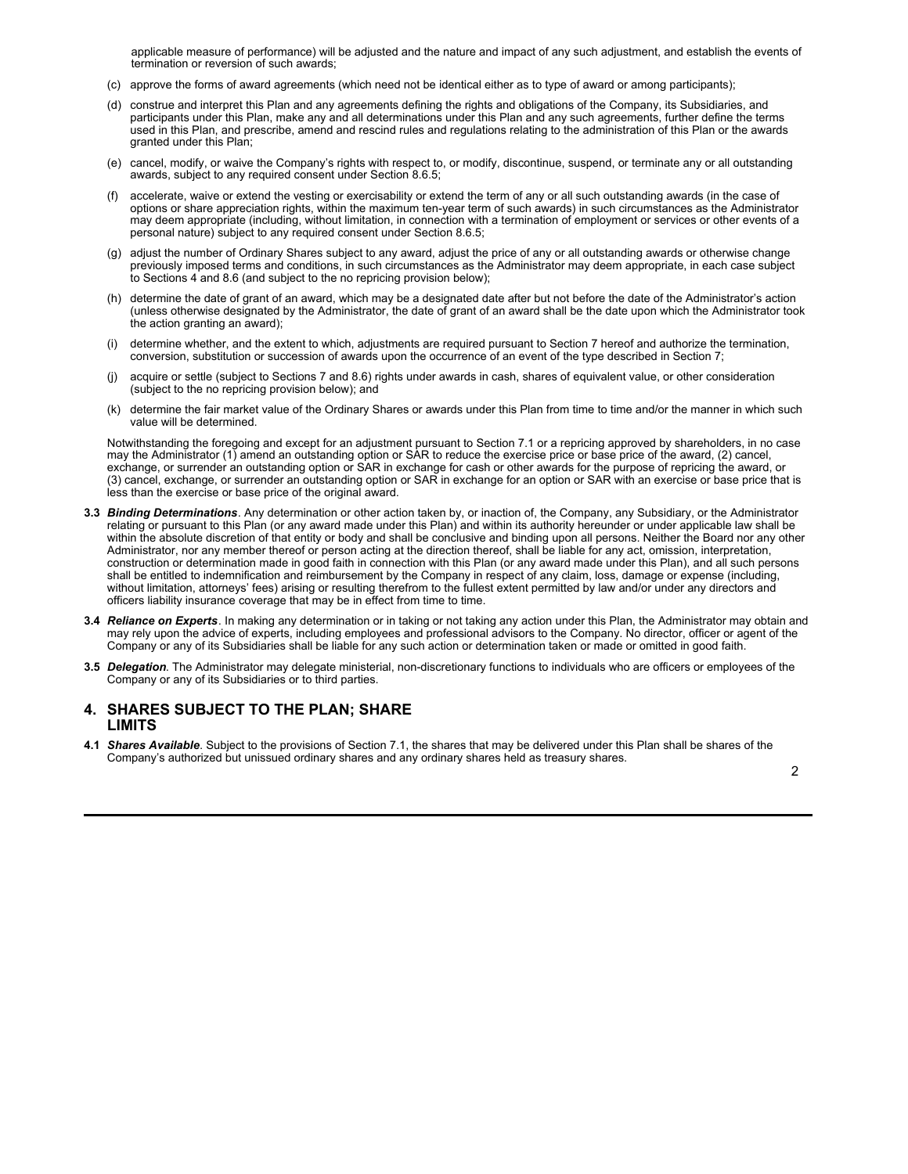applicable measure of performance) will be adjusted and the nature and impact of any such adjustment, and establish the events of termination or reversion of such awards;

- (c) approve the forms of award agreements (which need not be identical either as to type of award or among participants);
- (d) construe and interpret this Plan and any agreements defining the rights and obligations of the Company, its Subsidiaries, and participants under this Plan, make any and all determinations under this Plan and any such agreements, further define the terms used in this Plan, and prescribe, amend and rescind rules and regulations relating to the administration of this Plan or the awards granted under this Plan;
- (e) cancel, modify, or waive the Company's rights with respect to, or modify, discontinue, suspend, or terminate any or all outstanding awards, subject to any required consent under Section 8.6.5;
- (f) accelerate, waive or extend the vesting or exercisability or extend the term of any or all such outstanding awards (in the case of options or share appreciation rights, within the maximum ten-year term of such awards) in such circumstances as the Administrator may deem appropriate (including, without limitation, in connection with a termination of employment or services or other events of a personal nature) subject to any required consent under Section 8.6.5;
- (g) adjust the number of Ordinary Shares subject to any award, adjust the price of any or all outstanding awards or otherwise change previously imposed terms and conditions, in such circumstances as the Administrator may deem appropriate, in each case subject to Sections 4 and 8.6 (and subject to the no repricing provision below);
- (h) determine the date of grant of an award, which may be a designated date after but not before the date of the Administrator's action (unless otherwise designated by the Administrator, the date of grant of an award shall be the date upon which the Administrator took the action granting an award);
- (i) determine whether, and the extent to which, adjustments are required pursuant to Section 7 hereof and authorize the termination, conversion, substitution or succession of awards upon the occurrence of an event of the type described in Section 7;
- (j) acquire or settle (subject to Sections 7 and 8.6) rights under awards in cash, shares of equivalent value, or other consideration (subject to the no repricing provision below); and
- (k) determine the fair market value of the Ordinary Shares or awards under this Plan from time to time and/or the manner in which such value will be determined.

Notwithstanding the foregoing and except for an adjustment pursuant to Section 7.1 or a repricing approved by shareholders, in no case may the Administrator (1) amend an outstanding option or SAR to reduce the exercise price or base price of the award, (2) cancel, exchange, or surrender an outstanding option or SAR in exchange for cash or other awards for the purpose of repricing the award, or (3) cancel, exchange, or surrender an outstanding option or SAR in exchange for an option or SAR with an exercise or base price that is less than the exercise or base price of the original award.

- **3.3** *Binding Determinations*. Any determination or other action taken by, or inaction of, the Company, any Subsidiary, or the Administrator relating or pursuant to this Plan (or any award made under this Plan) and within its authority hereunder or under applicable law shall be within the absolute discretion of that entity or body and shall be conclusive and binding upon all persons. Neither the Board nor any other Administrator, nor any member thereof or person acting at the direction thereof, shall be liable for any act, omission, interpretation, construction or determination made in good faith in connection with this Plan (or any award made under this Plan), and all such persons shall be entitled to indemnification and reimbursement by the Company in respect of any claim, loss, damage or expense (including, without limitation, attorneys' fees) arising or resulting therefrom to the fullest extent permitted by law and/or under any directors and officers liability insurance coverage that may be in effect from time to time.
- **3.4** *Reliance on Experts*. In making any determination or in taking or not taking any action under this Plan, the Administrator may obtain and may rely upon the advice of experts, including employees and professional advisors to the Company. No director, officer or agent of the Company or any of its Subsidiaries shall be liable for any such action or determination taken or made or omitted in good faith.
- **3.5** *Delegation*. The Administrator may delegate ministerial, non-discretionary functions to individuals who are officers or employees of the Company or any of its Subsidiaries or to third parties.

## **4. SHARES SUBJECT TO THE PLAN; SHARE LIMITS**

**4.1** *Shares Available*. Subject to the provisions of Section 7.1, the shares that may be delivered under this Plan shall be shares of the Company's authorized but unissued ordinary shares and any ordinary shares held as treasury shares.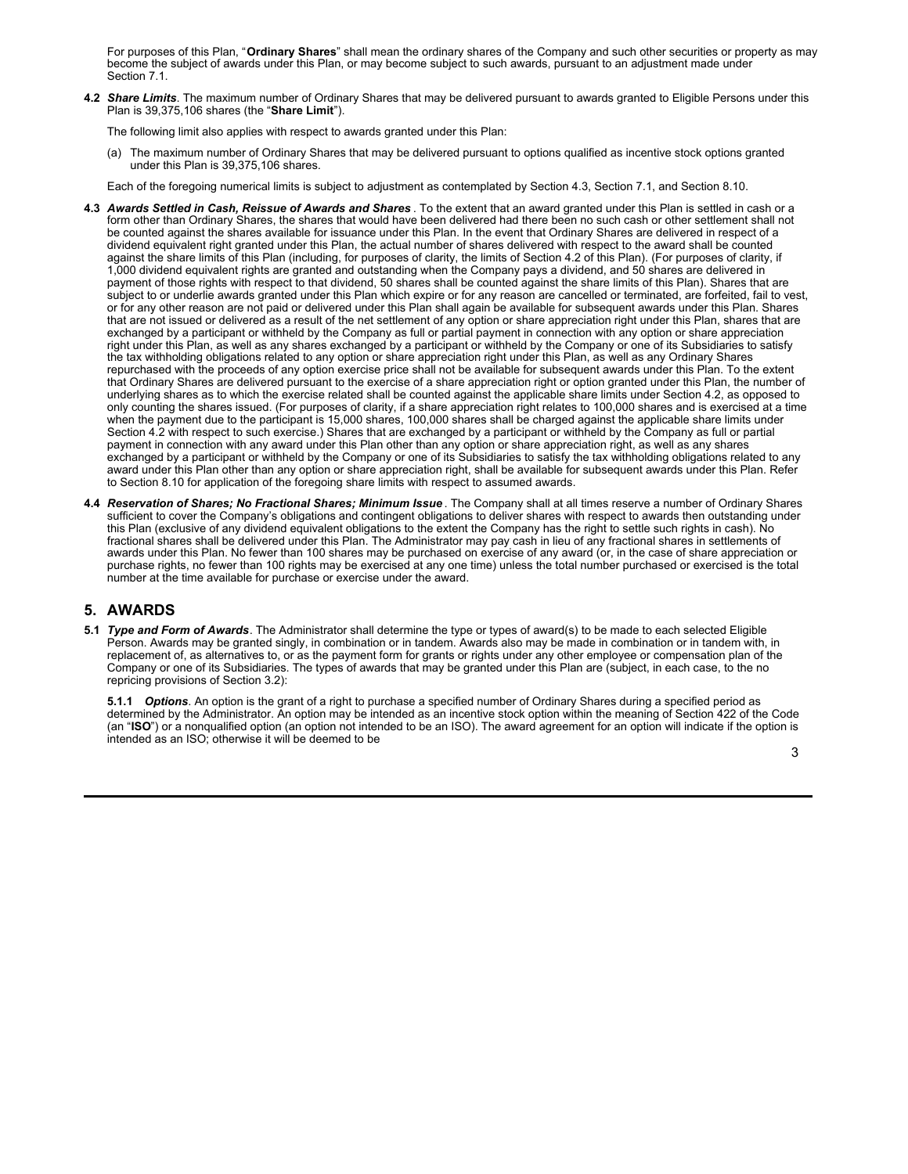For purposes of this Plan, "**Ordinary Shares**" shall mean the ordinary shares of the Company and such other securities or property as may become the subject of awards under this Plan, or may become subject to such awards, pursuant to an adjustment made under Section 7.1.

**4.2** *Share Limits*. The maximum number of Ordinary Shares that may be delivered pursuant to awards granted to Eligible Persons under this Plan is 39,375,106 shares (the "**Share Limit**").

The following limit also applies with respect to awards granted under this Plan:

(a) The maximum number of Ordinary Shares that may be delivered pursuant to options qualified as incentive stock options granted under this Plan is 39,375,106 shares.

Each of the foregoing numerical limits is subject to adjustment as contemplated by Section 4.3, Section 7.1, and Section 8.10.

- **4.3** *Awards Settled in Cash, Reissue of Awards and Shares* . To the extent that an award granted under this Plan is settled in cash or a form other than Ordinary Shares, the shares that would have been delivered had there been no such cash or other settlement shall not be counted against the shares available for issuance under this Plan. In the event that Ordinary Shares are delivered in respect of a dividend equivalent right granted under this Plan, the actual number of shares delivered with respect to the award shall be counted against the share limits of this Plan (including, for purposes of clarity, the limits of Section 4.2 of this Plan). (For purposes of clarity, if 1,000 dividend equivalent rights are granted and outstanding when the Company pays a dividend, and 50 shares are delivered in payment of those rights with respect to that dividend, 50 shares shall be counted against the share limits of this Plan). Shares that are subject to or underlie awards granted under this Plan which expire or for any reason are cancelled or terminated, are forfeited, fail to vest, or for any other reason are not paid or delivered under this Plan shall again be available for subsequent awards under this Plan. Shares that are not issued or delivered as a result of the net settlement of any option or share appreciation right under this Plan, shares that are exchanged by a participant or withheld by the Company as full or partial payment in connection with any option or share appreciation right under this Plan, as well as any shares exchanged by a participant or withheld by the Company or one of its Subsidiaries to satisfy the tax withholding obligations related to any option or share appreciation right under this Plan, as well as any Ordinary Shares repurchased with the proceeds of any option exercise price shall not be available for subsequent awards under this Plan. To the extent that Ordinary Shares are delivered pursuant to the exercise of a share appreciation right or option granted under this Plan, the number of underlying shares as to which the exercise related shall be counted against the applicable share limits under Section 4.2, as opposed to only counting the shares issued. (For purposes of clarity, if a share appreciation right relates to 100,000 shares and is exercised at a time when the payment due to the participant is 15,000 shares, 100,000 shares shall be charged against the applicable share limits under Section 4.2 with respect to such exercise.) Shares that are exchanged by a participant or withheld by the Company as full or partial payment in connection with any award under this Plan other than any option or share appreciation right, as well as any shares exchanged by a participant or withheld by the Company or one of its Subsidiaries to satisfy the tax withholding obligations related to any award under this Plan other than any option or share appreciation right, shall be available for subsequent awards under this Plan. Refer to Section 8.10 for application of the foregoing share limits with respect to assumed awards.
- **4.4** *Reservation of Shares; No Fractional Shares; Minimum Issue* . The Company shall at all times reserve a number of Ordinary Shares sufficient to cover the Company's obligations and contingent obligations to deliver shares with respect to awards then outstanding under this Plan (exclusive of any dividend equivalent obligations to the extent the Company has the right to settle such rights in cash). No fractional shares shall be delivered under this Plan. The Administrator may pay cash in lieu of any fractional shares in settlements of awards under this Plan. No fewer than 100 shares may be purchased on exercise of any award (or, in the case of share appreciation or purchase rights, no fewer than 100 rights may be exercised at any one time) unless the total number purchased or exercised is the total number at the time available for purchase or exercise under the award.

## **5. AWARDS**

**5.1** *Type and Form of Awards*. The Administrator shall determine the type or types of award(s) to be made to each selected Eligible Person. Awards may be granted singly, in combination or in tandem. Awards also may be made in combination or in tandem with, in replacement of, as alternatives to, or as the payment form for grants or rights under any other employee or compensation plan of the Company or one of its Subsidiaries. The types of awards that may be granted under this Plan are (subject, in each case, to the no repricing provisions of Section 3.2):

**5.1.1** *Options*. An option is the grant of a right to purchase a specified number of Ordinary Shares during a specified period as determined by the Administrator. An option may be intended as an incentive stock option within the meaning of Section 422 of the Code (an "**ISO**") or a nonqualified option (an option not intended to be an ISO). The award agreement for an option will indicate if the option is intended as an ISO; otherwise it will be deemed to be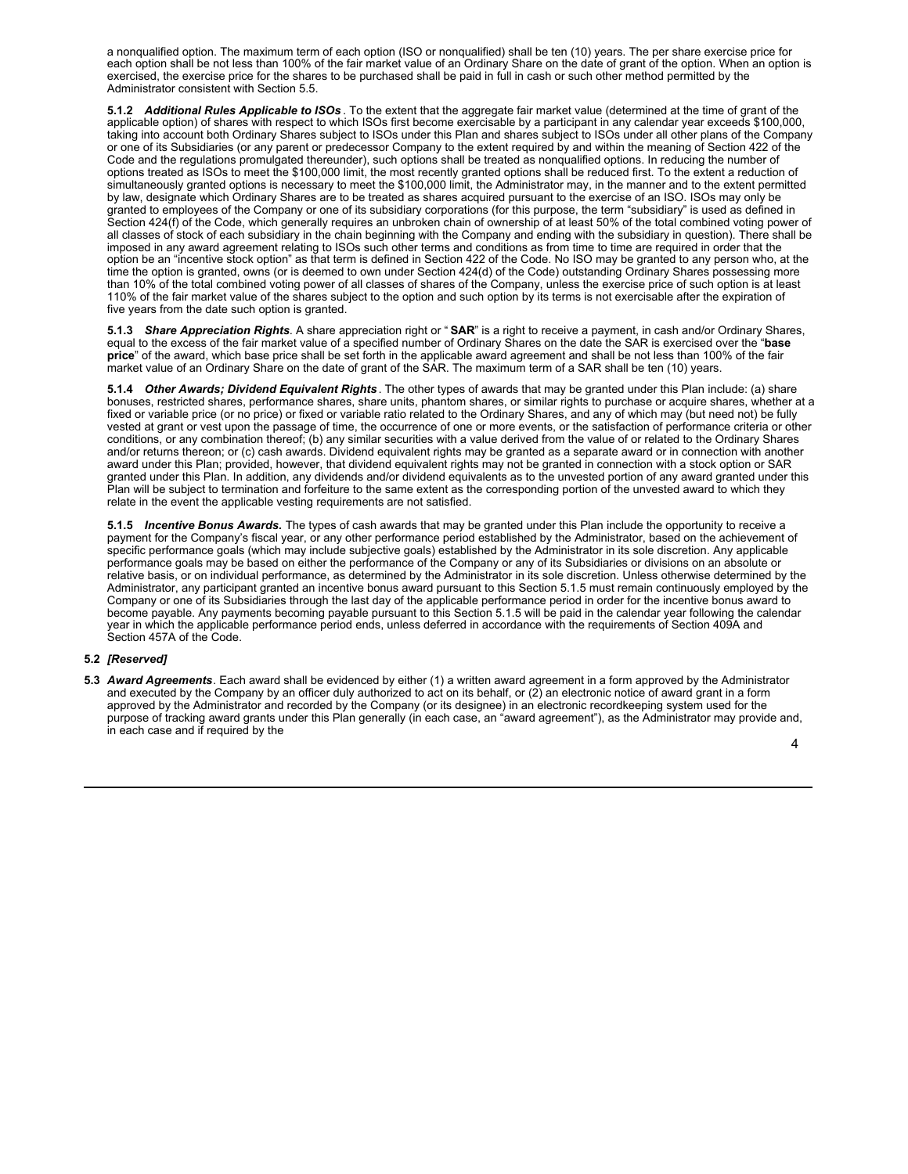a nonqualified option. The maximum term of each option (ISO or nonqualified) shall be ten (10) years. The per share exercise price for each option shall be not less than 100% of the fair market value of an Ordinary Share on the date of grant of the option. When an option is exercised, the exercise price for the shares to be purchased shall be paid in full in cash or such other method permitted by the Administrator consistent with Section 5.5.

**5.1.2** *Additional Rules Applicable to ISOs* . To the extent that the aggregate fair market value (determined at the time of grant of the applicable option) of shares with respect to which ISOs first become exercisable by a participant in any calendar year exceeds \$100,000, taking into account both Ordinary Shares subject to ISOs under this Plan and shares subject to ISOs under all other plans of the Company or one of its Subsidiaries (or any parent or predecessor Company to the extent required by and within the meaning of Section 422 of the Code and the regulations promulgated thereunder), such options shall be treated as nonqualified options. In reducing the number of options treated as ISOs to meet the \$100,000 limit, the most recently granted options shall be reduced first. To the extent a reduction of simultaneously granted options is necessary to meet the \$100,000 limit, the Administrator may, in the manner and to the extent permitted by law, designate which Ordinary Shares are to be treated as shares acquired pursuant to the exercise of an ISO. ISOs may only be granted to employees of the Company or one of its subsidiary corporations (for this purpose, the term "subsidiary" is used as defined in Section 424(f) of the Code, which generally requires an unbroken chain of ownership of at least 50% of the total combined voting power of all classes of stock of each subsidiary in the chain beginning with the Company and ending with the subsidiary in question). There shall be imposed in any award agreement relating to ISOs such other terms and conditions as from time to time are required in order that the option be an "incentive stock option" as that term is defined in Section 422 of the Code. No ISO may be granted to any person who, at the time the option is granted, owns (or is deemed to own under Section 424(d) of the Code) outstanding Ordinary Shares possessing more than 10% of the total combined voting power of all classes of shares of the Company, unless the exercise price of such option is at least 110% of the fair market value of the shares subject to the option and such option by its terms is not exercisable after the expiration of five years from the date such option is granted.

**5.1.3** *Share Appreciation Rights*. A share appreciation right or " **SAR**" is a right to receive a payment, in cash and/or Ordinary Shares, equal to the excess of the fair market value of a specified number of Ordinary Shares on the date the SAR is exercised over the "**base price**" of the award, which base price shall be set forth in the applicable award agreement and shall be not less than 100% of the fair market value of an Ordinary Share on the date of grant of the SAR. The maximum term of a SAR shall be ten (10) years.

**5.1.4** *Other Awards; Dividend Equivalent Rights* . The other types of awards that may be granted under this Plan include: (a) share bonuses, restricted shares, performance shares, share units, phantom shares, or similar rights to purchase or acquire shares, whether at a fixed or variable price (or no price) or fixed or variable ratio related to the Ordinary Shares, and any of which may (but need not) be fully vested at grant or vest upon the passage of time, the occurrence of one or more events, or the satisfaction of performance criteria or other conditions, or any combination thereof; (b) any similar securities with a value derived from the value of or related to the Ordinary Shares and/or returns thereon; or (c) cash awards. Dividend equivalent rights may be granted as a separate award or in connection with another award under this Plan; provided, however, that dividend equivalent rights may not be granted in connection with a stock option or SAR granted under this Plan. In addition, any dividends and/or dividend equivalents as to the unvested portion of any award granted under this Plan will be subject to termination and forfeiture to the same extent as the corresponding portion of the unvested award to which they relate in the event the applicable vesting requirements are not satisfied.

**5.1.5** *Incentive Bonus Awards.* The types of cash awards that may be granted under this Plan include the opportunity to receive a payment for the Company's fiscal year, or any other performance period established by the Administrator, based on the achievement of specific performance goals (which may include subjective goals) established by the Administrator in its sole discretion. Any applicable performance goals may be based on either the performance of the Company or any of its Subsidiaries or divisions on an absolute or relative basis, or on individual performance, as determined by the Administrator in its sole discretion. Unless otherwise determined by the Administrator, any participant granted an incentive bonus award pursuant to this Section 5.1.5 must remain continuously employed by the Company or one of its Subsidiaries through the last day of the applicable performance period in order for the incentive bonus award to become payable. Any payments becoming payable pursuant to this Section 5.1.5 will be paid in the calendar year following the calendar year in which the applicable performance period ends, unless deferred in accordance with the requirements of Section 409A and Section 457A of the Code.

## **5.2** *[Reserved]*

**5.3** *Award Agreements*. Each award shall be evidenced by either (1) a written award agreement in a form approved by the Administrator and executed by the Company by an officer duly authorized to act on its behalf, or  $(2)$  an electronic notice of award grant in a form approved by the Administrator and recorded by the Company (or its designee) in an electronic recordkeeping system used for the purpose of tracking award grants under this Plan generally (in each case, an "award agreement"), as the Administrator may provide and, in each case and if required by the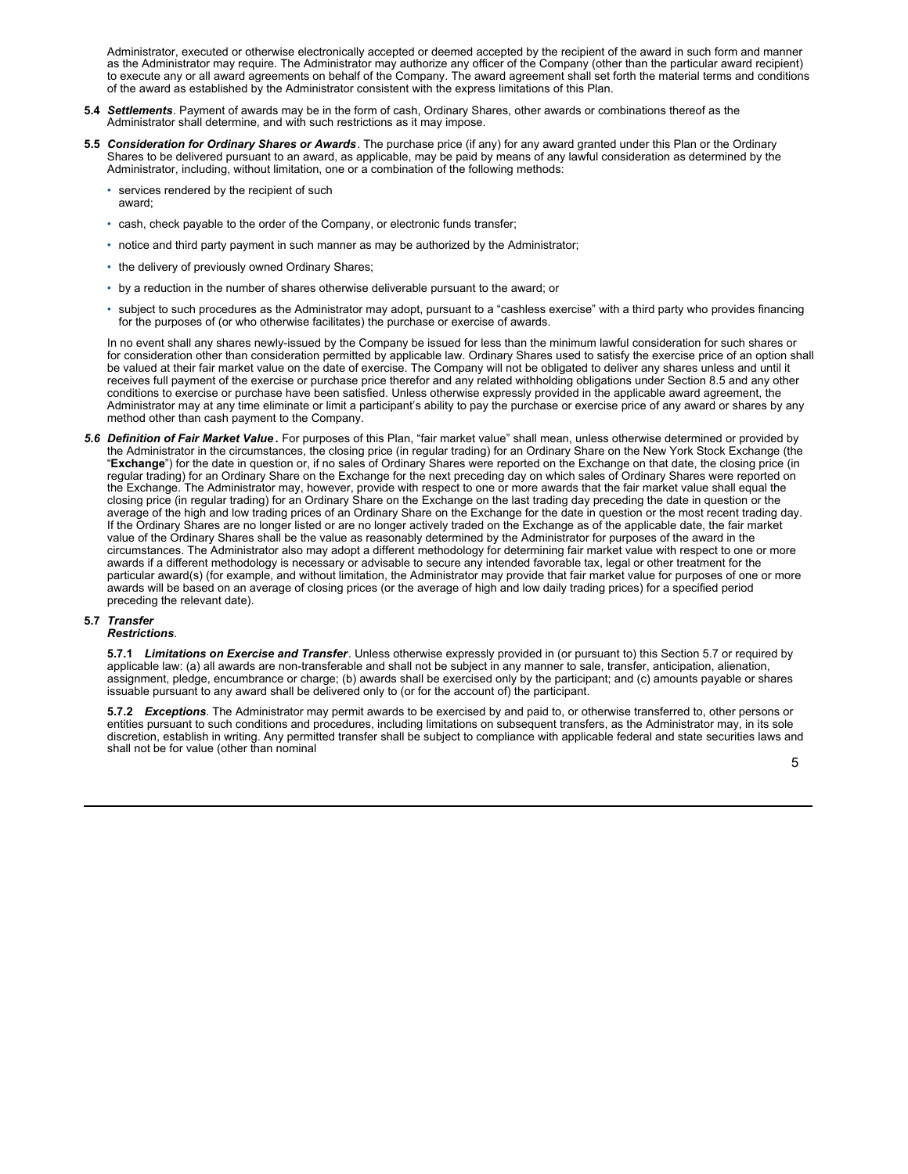<span id="page-8-0"></span>Administrator, executed or otherwise electronically accepted or deemed accepted by the recipient of the award in such form and manner as the Administrator may require. The Administrator may authorize any officer of the Company (other than the particular award recipient) to execute any or all award agreements on behalf of the Company. The award agreement shall set forth the material terms and conditions of the award as established by the Administrator consistent with the express limitations of this Plan.

- **5.4** *Settlements*. Payment of awards may be in the form of cash, Ordinary Shares, other awards or combinations thereof as the Administrator shall determine, and with such restrictions as it may impose.
- **5.5** *Consideration for Ordinary Shares or Awards*. The purchase price (if any) for any award granted under this Plan or the Ordinary Shares to be delivered pursuant to an award, as applicable, may be paid by means of any lawful consideration as determined by the Administrator, including, without limitation, one or a combination of the following methods:
	- services rendered by the recipient of such award;
	- cash, check payable to the order of the Company, or electronic funds transfer;
	- notice and third party payment in such manner as may be authorized by the Administrator;
	- the delivery of previously owned Ordinary Shares;
	- by a reduction in the number of shares otherwise deliverable pursuant to the award; or
	- subject to such procedures as the Administrator may adopt, pursuant to a "cashless exercise" with a third party who provides financing for the purposes of (or who otherwise facilitates) the purchase or exercise of awards.

In no event shall any shares newly-issued by the Company be issued for less than the minimum lawful consideration for such shares or for consideration other than consideration permitted by applicable law. Ordinary Shares used to satisfy the exercise price of an option shall be valued at their fair market value on the date of exercise. The Company will not be obligated to deliver any shares unless and until it receives full payment of the exercise or purchase price therefor and any related withholding obligations under Section 8.5 and any other conditions to exercise or purchase have been satisfied. Unless otherwise expressly provided in the applicable award agreement, the Administrator may at any time eliminate or limit a participant's ability to pay the purchase or exercise price of any award or shares by any method other than cash payment to the Company.

*5.6 Definition of Fair Market Value* **.** For purposes of this Plan, "fair market value" shall mean, unless otherwise determined or provided by the Administrator in the circumstances, the closing price (in regular trading) for an Ordinary Share on the New York Stock Exchange (the "**Exchange**") for the date in question or, if no sales of Ordinary Shares were reported on the Exchange on that date, the closing price (in regular trading) for an Ordinary Share on the Exchange for the next preceding day on which sales of Ordinary Shares were reported on the Exchange. The Administrator may, however, provide with respect to one or more awards that the fair market value shall equal the closing price (in regular trading) for an Ordinary Share on the Exchange on the last trading day preceding the date in question or the average of the high and low trading prices of an Ordinary Share on the Exchange for the date in question or the most recent trading day. If the Ordinary Shares are no longer listed or are no longer actively traded on the Exchange as of the applicable date, the fair market value of the Ordinary Shares shall be the value as reasonably determined by the Administrator for purposes of the award in the circumstances. The Administrator also may adopt a different methodology for determining fair market value with respect to one or more awards if a different methodology is necessary or advisable to secure any intended favorable tax, legal or other treatment for the particular award(s) (for example, and without limitation, the Administrator may provide that fair market value for purposes of one or more awards will be based on an average of closing prices (or the average of high and low daily trading prices) for a specified period preceding the relevant date).

## **5.7** *Transfer*

## *Restrictions*.

**5.7.1** *Limitations on Exercise and Transfer*. Unless otherwise expressly provided in (or pursuant to) this Section 5.7 or required by applicable law: (a) all awards are non-transferable and shall not be subject in any manner to sale, transfer, anticipation, alienation, assignment, pledge, encumbrance or charge; (b) awards shall be exercised only by the participant; and (c) amounts payable or shares issuable pursuant to any award shall be delivered only to (or for the account of) the participant.

**5.7.2** *Exceptions*. The Administrator may permit awards to be exercised by and paid to, or otherwise transferred to, other persons or entities pursuant to such conditions and procedures, including limitations on subsequent transfers, as the Administrator may, in its sole discretion, establish in writing. Any permitted transfer shall be subject to compliance with applicable federal and state securities laws and shall not be for value (other than nominal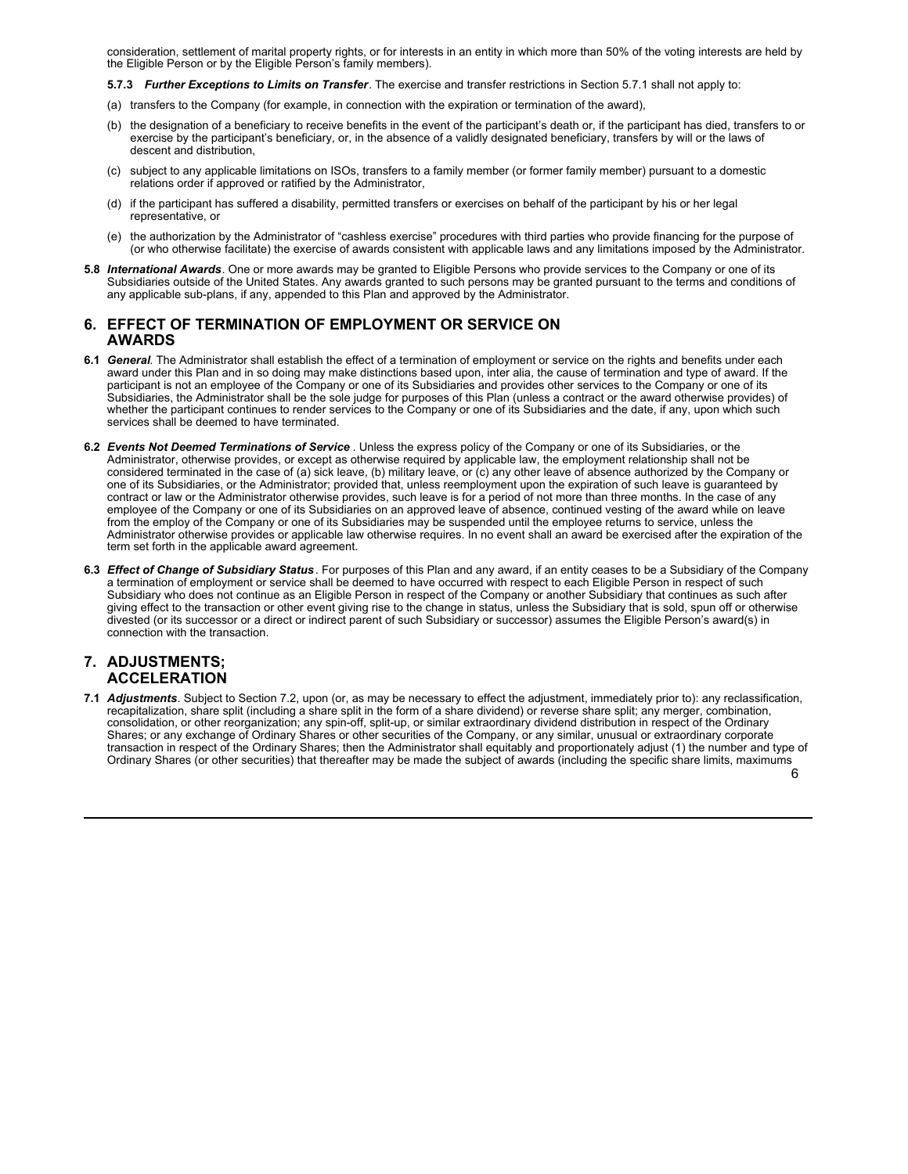consideration, settlement of marital property rights, or for interests in an entity in which more than 50% of the voting interests are held by the Eligible Person or by the Eligible Person's family members).

**5.7.3** *Further Exceptions to Limits on Transfer*. The exercise and transfer restrictions in Section 5.7.1 shall not apply to:

- (a) transfers to the Company (for example, in connection with the expiration or termination of the award),
- (b) the designation of a beneficiary to receive benefits in the event of the participant's death or, if the participant has died, transfers to or exercise by the participant's beneficiary, or, in the absence of a validly designated beneficiary, transfers by will or the laws of descent and distribution,
- (c) subject to any applicable limitations on ISOs, transfers to a family member (or former family member) pursuant to a domestic relations order if approved or ratified by the Administrator,
- (d) if the participant has suffered a disability, permitted transfers or exercises on behalf of the participant by his or her legal representative, or
- (e) the authorization by the Administrator of "cashless exercise" procedures with third parties who provide financing for the purpose of (or who otherwise facilitate) the exercise of awards consistent with applicable laws and any limitations imposed by the Administrator.
- **5.8** *International Awards*. One or more awards may be granted to Eligible Persons who provide services to the Company or one of its Subsidiaries outside of the United States. Any awards granted to such persons may be granted pursuant to the terms and conditions of any applicable sub-plans, if any, appended to this Plan and approved by the Administrator.

## **6. EFFECT OF TERMINATION OF EMPLOYMENT OR SERVICE ON AWARDS**

- **6.1** *General*. The Administrator shall establish the effect of a termination of employment or service on the rights and benefits under each award under this Plan and in so doing may make distinctions based upon, inter alia, the cause of termination and type of award. If the participant is not an employee of the Company or one of its Subsidiaries and provides other services to the Company or one of its Subsidiaries, the Administrator shall be the sole judge for purposes of this Plan (unless a contract or the award otherwise provides) of whether the participant continues to render services to the Company or one of its Subsidiaries and the date, if any, upon which such services shall be deemed to have terminated.
- **6.2** *Events Not Deemed Terminations of Service* . Unless the express policy of the Company or one of its Subsidiaries, or the Administrator, otherwise provides, or except as otherwise required by applicable law, the employment relationship shall not be considered terminated in the case of (a) sick leave, (b) military leave, or (c) any other leave of absence authorized by the Company or one of its Subsidiaries, or the Administrator; provided that, unless reemployment upon the expiration of such leave is guaranteed by contract or law or the Administrator otherwise provides, such leave is for a period of not more than three months. In the case of any employee of the Company or one of its Subsidiaries on an approved leave of absence, continued vesting of the award while on leave from the employ of the Company or one of its Subsidiaries may be suspended until the employee returns to service, unless the Administrator otherwise provides or applicable law otherwise requires. In no event shall an award be exercised after the expiration of the term set forth in the applicable award agreement.
- **6.3** *Effect of Change of Subsidiary Status*. For purposes of this Plan and any award, if an entity ceases to be a Subsidiary of the Company a termination of employment or service shall be deemed to have occurred with respect to each Eligible Person in respect of such Subsidiary who does not continue as an Eligible Person in respect of the Company or another Subsidiary that continues as such after giving effect to the transaction or other event giving rise to the change in status, unless the Subsidiary that is sold, spun off or otherwise divested (or its successor or a direct or indirect parent of such Subsidiary or successor) assumes the Eligible Person's award(s) in connection with the transaction.

## **7. ADJUSTMENTS; ACCELERATION**

6 **7.1** *Adjustments*. Subject to Section 7.2, upon (or, as may be necessary to effect the adjustment, immediately prior to): any reclassification, recapitalization, share split (including a share split in the form of a share dividend) or reverse share split; any merger, combination, consolidation, or other reorganization; any spin-off, split-up, or similar extraordinary dividend distribution in respect of the Ordinary Shares; or any exchange of Ordinary Shares or other securities of the Company, or any similar, unusual or extraordinary corporate transaction in respect of the Ordinary Shares; then the Administrator shall equitably and proportionately adjust (1) the number and type of Ordinary Shares (or other securities) that thereafter may be made the subject of awards (including the specific share limits, maximums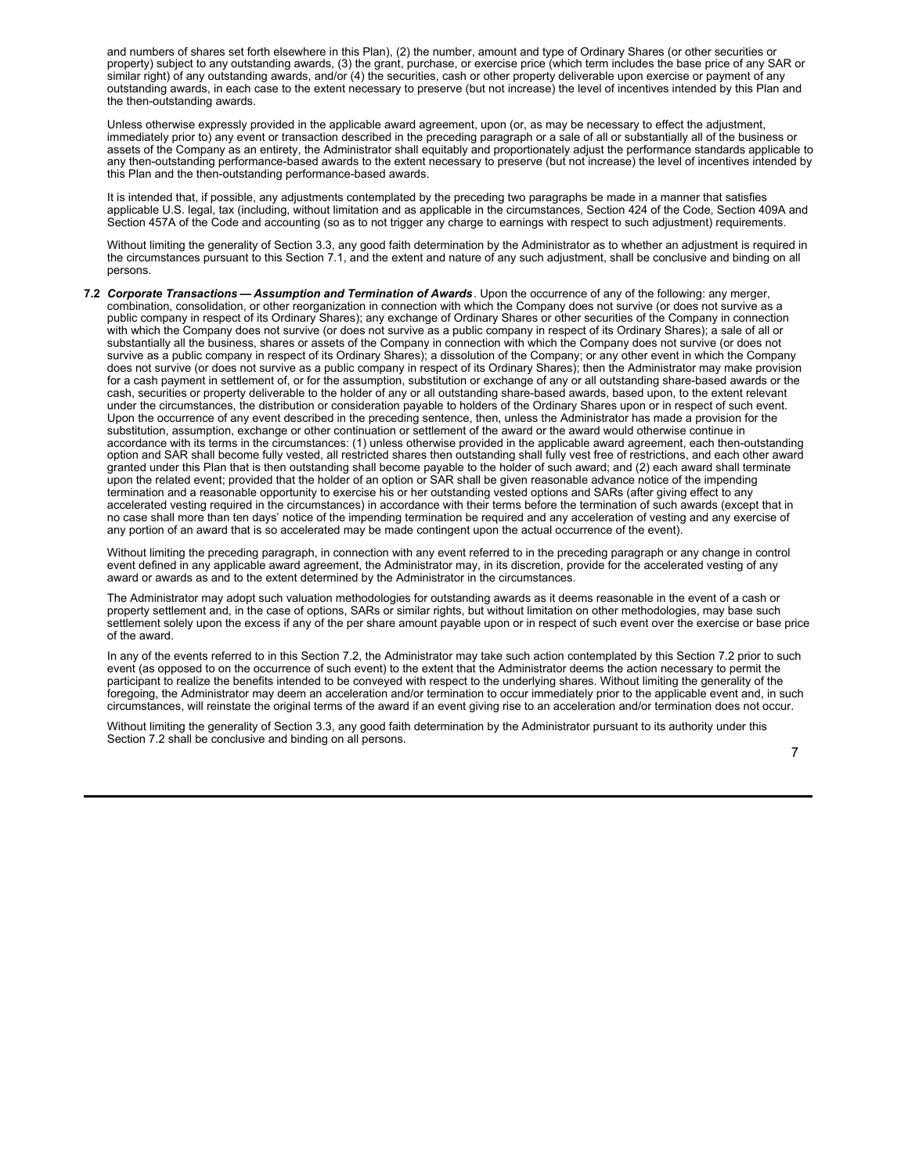and numbers of shares set forth elsewhere in this Plan), (2) the number, amount and type of Ordinary Shares (or other securities or property) subject to any outstanding awards, (3) the grant, purchase, or exercise price (which term includes the base price of any SAR or similar right) of any outstanding awards, and/or (4) the securities, cash or other property deliverable upon exercise or payment of any outstanding awards, in each case to the extent necessary to preserve (but not increase) the level of incentives intended by this Plan and the then-outstanding awards.

Unless otherwise expressly provided in the applicable award agreement, upon (or, as may be necessary to effect the adjustment, immediately prior to) any event or transaction described in the preceding paragraph or a sale of all or substantially all of the business or assets of the Company as an entirety, the Administrator shall equitably and proportionately adjust the performance standards applicable to any then-outstanding performance-based awards to the extent necessary to preserve (but not increase) the level of incentives intended by this Plan and the then-outstanding performance-based awards.

It is intended that, if possible, any adjustments contemplated by the preceding two paragraphs be made in a manner that satisfies applicable U.S. legal, tax (including, without limitation and as applicable in the circumstances, Section 424 of the Code, Section 409A and Section 457A of the Code and accounting (so as to not trigger any charge to earnings with respect to such adjustment) requirements.

Without limiting the generality of Section 3.3, any good faith determination by the Administrator as to whether an adjustment is required in the circumstances pursuant to this Section 7.1, and the extent and nature of any such adjustment, shall be conclusive and binding on all persons.

**7.2** *Corporate Transactions — Assumption and Termination of Awards*. Upon the occurrence of any of the following: any merger, combination, consolidation, or other reorganization in connection with which the Company does not survive (or does not survive as a public company in respect of its Ordinary Shares); any exchange of Ordinary Shares or other securities of the Company in connection with which the Company does not survive (or does not survive as a public company in respect of its Ordinary Shares); a sale of all or substantially all the business, shares or assets of the Company in connection with which the Company does not survive (or does not survive as a public company in respect of its Ordinary Shares); a dissolution of the Company; or any other event in which the Company does not survive (or does not survive as a public company in respect of its Ordinary Shares); then the Administrator may make provision for a cash payment in settlement of, or for the assumption, substitution or exchange of any or all outstanding share-based awards or the cash, securities or property deliverable to the holder of any or all outstanding share-based awards, based upon, to the extent relevant under the circumstances, the distribution or consideration payable to holders of the Ordinary Shares upon or in respect of such event. Upon the occurrence of any event described in the preceding sentence, then, unless the Administrator has made a provision for the substitution, assumption, exchange or other continuation or settlement of the award or the award would otherwise continue in accordance with its terms in the circumstances: (1) unless otherwise provided in the applicable award agreement, each then-outstanding option and SAR shall become fully vested, all restricted shares then outstanding shall fully vest free of restrictions, and each other award granted under this Plan that is then outstanding shall become payable to the holder of such award; and (2) each award shall terminate upon the related event; provided that the holder of an option or SAR shall be given reasonable advance notice of the impending termination and a reasonable opportunity to exercise his or her outstanding vested options and SARs (after giving effect to any accelerated vesting required in the circumstances) in accordance with their terms before the termination of such awards (except that in no case shall more than ten days' notice of the impending termination be required and any acceleration of vesting and any exercise of any portion of an award that is so accelerated may be made contingent upon the actual occurrence of the event).

Without limiting the preceding paragraph, in connection with any event referred to in the preceding paragraph or any change in control event defined in any applicable award agreement, the Administrator may, in its discretion, provide for the accelerated vesting of any award or awards as and to the extent determined by the Administrator in the circumstances.

The Administrator may adopt such valuation methodologies for outstanding awards as it deems reasonable in the event of a cash or property settlement and, in the case of options, SARs or similar rights, but without limitation on other methodologies, may base such settlement solely upon the excess if any of the per share amount payable upon or in respect of such event over the exercise or base price of the award.

In any of the events referred to in this Section 7.2, the Administrator may take such action contemplated by this Section 7.2 prior to such event (as opposed to on the occurrence of such event) to the extent that the Administrator deems the action necessary to permit the participant to realize the benefits intended to be conveyed with respect to the underlying shares. Without limiting the generality of the foregoing, the Administrator may deem an acceleration and/or termination to occur immediately prior to the applicable event and, in such circumstances, will reinstate the original terms of the award if an event giving rise to an acceleration and/or termination does not occur.

Without limiting the generality of Section 3.3, any good faith determination by the Administrator pursuant to its authority under this Section 7.2 shall be conclusive and binding on all persons.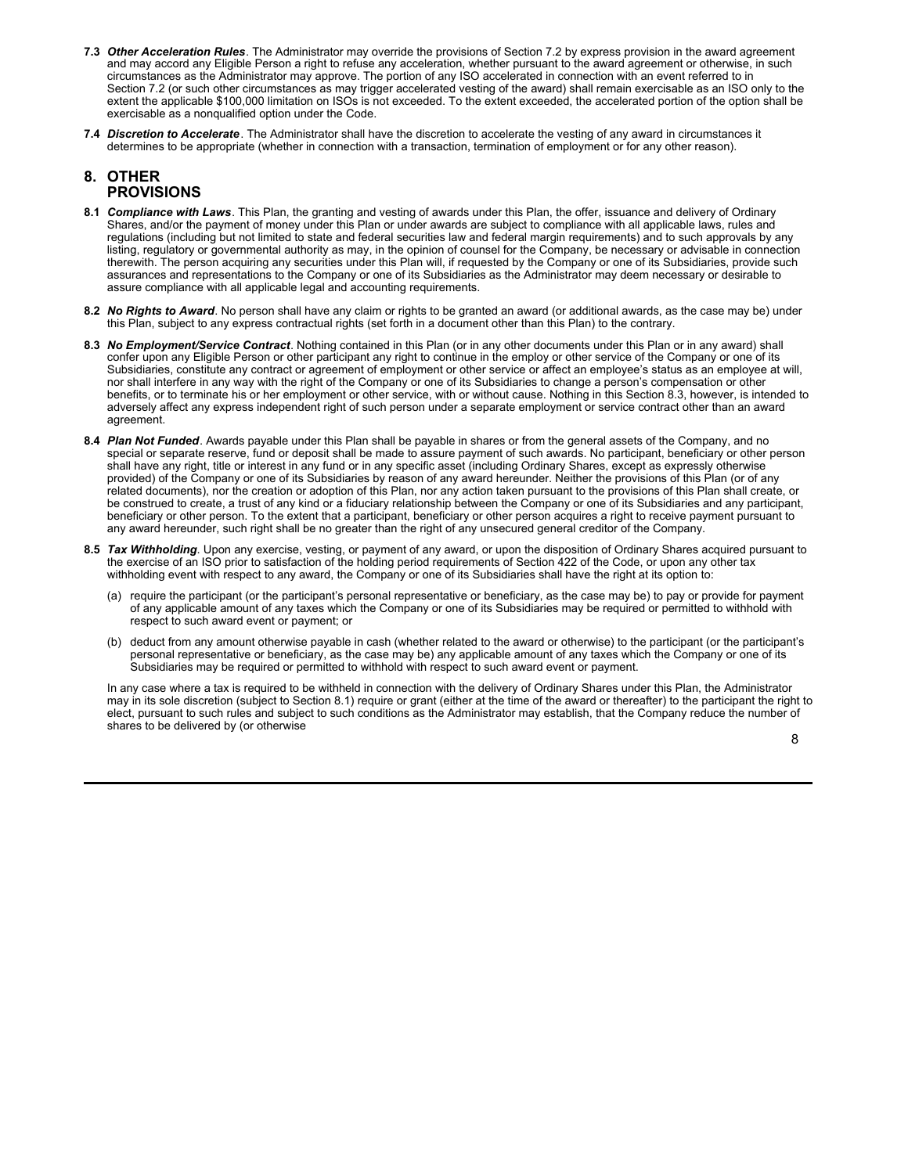- **7.3** *Other Acceleration Rules*. The Administrator may override the provisions of Section 7.2 by express provision in the award agreement and may accord any Eligible Person a right to refuse any acceleration, whether pursuant to the award agreement or otherwise, in such circumstances as the Administrator may approve. The portion of any ISO accelerated in connection with an event referred to in Section 7.2 (or such other circumstances as may trigger accelerated vesting of the award) shall remain exercisable as an ISO only to the extent the applicable \$100,000 limitation on ISOs is not exceeded. To the extent exceeded, the accelerated portion of the option shall be exercisable as a nonqualified option under the Code.
- **7.4** *Discretion to Accelerate*. The Administrator shall have the discretion to accelerate the vesting of any award in circumstances it determines to be appropriate (whether in connection with a transaction, termination of employment or for any other reason).

## **8. OTHER PROVISIONS**

- **8.1** *Compliance with Laws*. This Plan, the granting and vesting of awards under this Plan, the offer, issuance and delivery of Ordinary Shares, and/or the payment of money under this Plan or under awards are subject to compliance with all applicable laws, rules and regulations (including but not limited to state and federal securities law and federal margin requirements) and to such approvals by any listing, regulatory or governmental authority as may, in the opinion of counsel for the Company, be necessary or advisable in connection therewith. The person acquiring any securities under this Plan will, if requested by the Company or one of its Subsidiaries, provide such assurances and representations to the Company or one of its Subsidiaries as the Administrator may deem necessary or desirable to assure compliance with all applicable legal and accounting requirements.
- **8.2** *No Rights to Award*. No person shall have any claim or rights to be granted an award (or additional awards, as the case may be) under this Plan, subject to any express contractual rights (set forth in a document other than this Plan) to the contrary.
- **8.3** *No Employment/Service Contract*. Nothing contained in this Plan (or in any other documents under this Plan or in any award) shall confer upon any Eligible Person or other participant any right to continue in the employ or other service of the Company or one of its Subsidiaries, constitute any contract or agreement of employment or other service or affect an employee's status as an employee at will, nor shall interfere in any way with the right of the Company or one of its Subsidiaries to change a person's compensation or other benefits, or to terminate his or her employment or other service, with or without cause. Nothing in this Section 8.3, however, is intended to adversely affect any express independent right of such person under a separate employment or service contract other than an award agreement.
- **8.4** *Plan Not Funded*. Awards payable under this Plan shall be payable in shares or from the general assets of the Company, and no special or separate reserve, fund or deposit shall be made to assure payment of such awards. No participant, beneficiary or other person shall have any right, title or interest in any fund or in any specific asset (including Ordinary Shares, except as expressly otherwise provided) of the Company or one of its Subsidiaries by reason of any award hereunder. Neither the provisions of this Plan (or of any related documents), nor the creation or adoption of this Plan, nor any action taken pursuant to the provisions of this Plan shall create, or be construed to create, a trust of any kind or a fiduciary relationship between the Company or one of its Subsidiaries and any participant, beneficiary or other person. To the extent that a participant, beneficiary or other person acquires a right to receive payment pursuant to any award hereunder, such right shall be no greater than the right of any unsecured general creditor of the Company.
- **8.5** *Tax Withholding*. Upon any exercise, vesting, or payment of any award, or upon the disposition of Ordinary Shares acquired pursuant to the exercise of an ISO prior to satisfaction of the holding period requirements of Section 422 of the Code, or upon any other tax withholding event with respect to any award, the Company or one of its Subsidiaries shall have the right at its option to:
	- (a) require the participant (or the participant's personal representative or beneficiary, as the case may be) to pay or provide for payment of any applicable amount of any taxes which the Company or one of its Subsidiaries may be required or permitted to withhold with respect to such award event or payment; or
	- (b) deduct from any amount otherwise payable in cash (whether related to the award or otherwise) to the participant (or the participant's personal representative or beneficiary, as the case may be) any applicable amount of any taxes which the Company or one of its Subsidiaries may be required or permitted to withhold with respect to such award event or payment.

In any case where a tax is required to be withheld in connection with the delivery of Ordinary Shares under this Plan, the Administrator may in its sole discretion (subject to Section 8.1) require or grant (either at the time of the award or thereafter) to the participant the right to elect, pursuant to such rules and subject to such conditions as the Administrator may establish, that the Company reduce the number of shares to be delivered by (or otherwise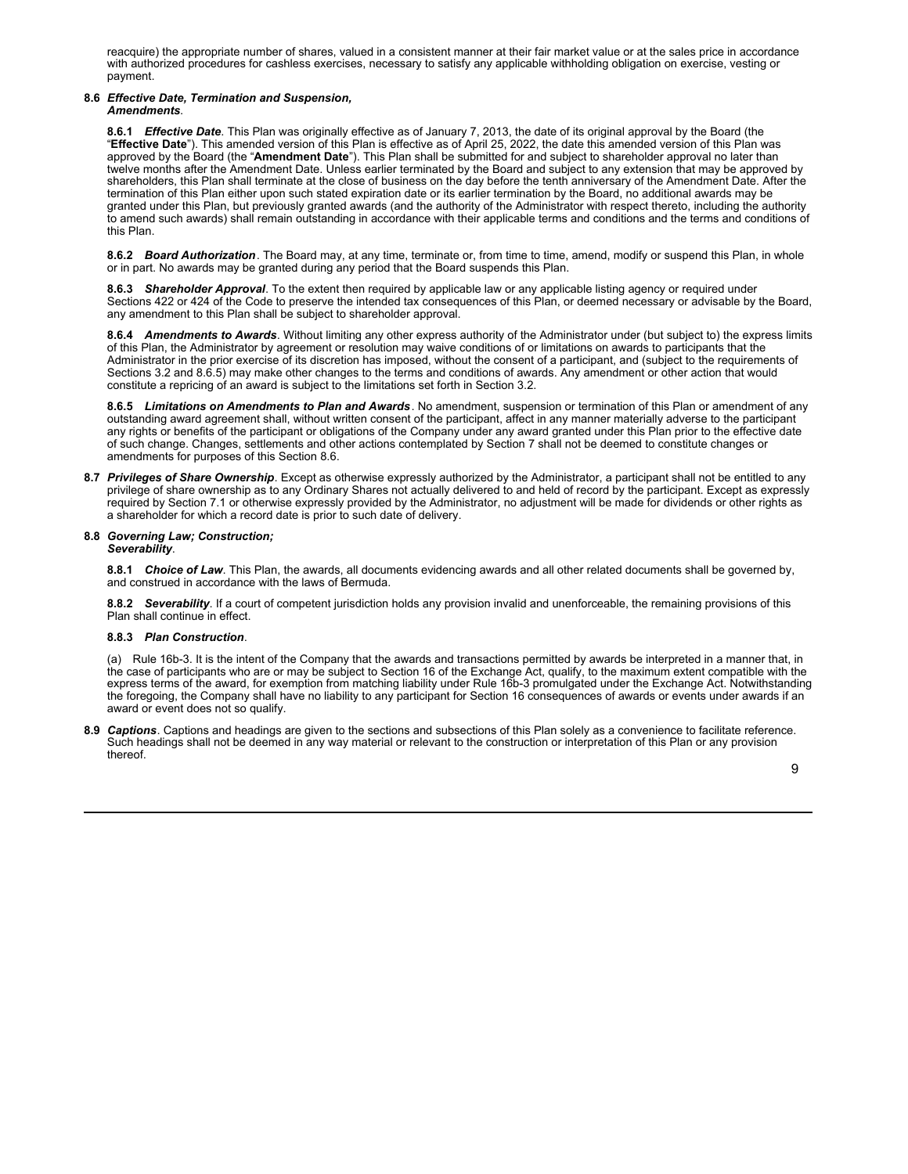reacquire) the appropriate number of shares, valued in a consistent manner at their fair market value or at the sales price in accordance with authorized procedures for cashless exercises, necessary to satisfy any applicable withholding obligation on exercise, vesting or payment.

## **8.6** *Effective Date, Termination and Suspension,*

#### *Amendments*.

**8.6.1** *Effective Date*. This Plan was originally effective as of January 7, 2013, the date of its original approval by the Board (the "**Effective Date**"). This amended version of this Plan is effective as of April 25, 2022, the date this amended version of this Plan was approved by the Board (the "**Amendment Date**"). This Plan shall be submitted for and subject to shareholder approval no later than twelve months after the Amendment Date. Unless earlier terminated by the Board and subject to any extension that may be approved by shareholders, this Plan shall terminate at the close of business on the day before the tenth anniversary of the Amendment Date. After the termination of this Plan either upon such stated expiration date or its earlier termination by the Board, no additional awards may be granted under this Plan, but previously granted awards (and the authority of the Administrator with respect thereto, including the authority to amend such awards) shall remain outstanding in accordance with their applicable terms and conditions and the terms and conditions of this Plan.

**8.6.2** *Board Authorization*. The Board may, at any time, terminate or, from time to time, amend, modify or suspend this Plan, in whole or in part. No awards may be granted during any period that the Board suspends this Plan.

**8.6.3** *Shareholder Approval*. To the extent then required by applicable law or any applicable listing agency or required under Sections 422 or 424 of the Code to preserve the intended tax consequences of this Plan, or deemed necessary or advisable by the Board, any amendment to this Plan shall be subject to shareholder approval.

**8.6.4** *Amendments to Awards*. Without limiting any other express authority of the Administrator under (but subject to) the express limits of this Plan, the Administrator by agreement or resolution may waive conditions of or limitations on awards to participants that the Administrator in the prior exercise of its discretion has imposed, without the consent of a participant, and (subject to the requirements of Sections 3.2 and 8.6.5) may make other changes to the terms and conditions of awards. Any amendment or other action that would constitute a repricing of an award is subject to the limitations set forth in Section 3.2.

**8.6.5** *Limitations on Amendments to Plan and Awards*. No amendment, suspension or termination of this Plan or amendment of any outstanding award agreement shall, without written consent of the participant, affect in any manner materially adverse to the participant any rights or benefits of the participant or obligations of the Company under any award granted under this Plan prior to the effective date of such change. Changes, settlements and other actions contemplated by Section 7 shall not be deemed to constitute changes or amendments for purposes of this Section 8.6.

**8.7** *Privileges of Share Ownership*. Except as otherwise expressly authorized by the Administrator, a participant shall not be entitled to any privilege of share ownership as to any Ordinary Shares not actually delivered to and held of record by the participant. Except as expressly required by Section 7.1 or otherwise expressly provided by the Administrator, no adjustment will be made for dividends or other rights as a shareholder for which a record date is prior to such date of delivery.

#### **8.8** *Governing Law; Construction; Severability*.

**8.8.1** *Choice of Law*. This Plan, the awards, all documents evidencing awards and all other related documents shall be governed by, and construed in accordance with the laws of Bermuda.

**8.8.2** *Severability*. If a court of competent jurisdiction holds any provision invalid and unenforceable, the remaining provisions of this Plan shall continue in effect.

## **8.8.3** *Plan Construction*.

(a) Rule 16b-3. It is the intent of the Company that the awards and transactions permitted by awards be interpreted in a manner that, in the case of participants who are or may be subject to Section 16 of the Exchange Act, qualify, to the maximum extent compatible with the express terms of the award, for exemption from matching liability under Rule 16b-3 promulgated under the Exchange Act. Notwithstanding the foregoing, the Company shall have no liability to any participant for Section 16 consequences of awards or events under awards if an award or event does not so qualify.

**8.9** *Captions*. Captions and headings are given to the sections and subsections of this Plan solely as a convenience to facilitate reference. Such headings shall not be deemed in any way material or relevant to the construction or interpretation of this Plan or any provision thereof.